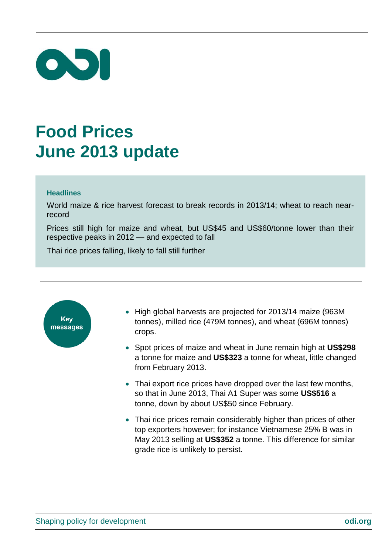

## **Food Prices June 2013 update**

## **Headlines**

World maize & rice harvest forecast to break records in 2013/14; wheat to reach nearrecord

Prices still high for maize and wheat, but US\$45 and US\$60/tonne lower than their respective peaks in 2012 — and expected to fall

Thai rice prices falling, likely to fall still further



- High global harvests are projected for 2013/14 maize (963M) tonnes), milled rice (479M tonnes), and wheat (696M tonnes) crops.
- Spot prices of maize and wheat in June remain high at **US\$298** a tonne for maize and **US\$323** a tonne for wheat, little changed from February 2013.
- Thai export rice prices have dropped over the last few months, so that in June 2013, Thai A1 Super was some **US\$516** a tonne, down by about US\$50 since February.
- Thai rice prices remain considerably higher than prices of other top exporters however; for instance Vietnamese 25% B was in May 2013 selling at **US\$352** a tonne. This difference for similar grade rice is unlikely to persist.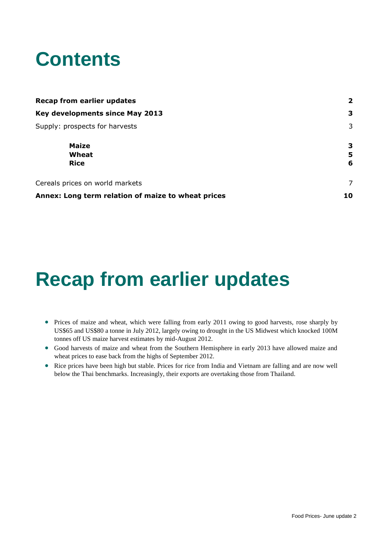## **Contents**

| <b>Recap from earlier updates</b>                  | $\overline{\mathbf{2}}$ |
|----------------------------------------------------|-------------------------|
| Key developments since May 2013                    | з                       |
| Supply: prospects for harvests                     | 3                       |
| <b>Maize</b><br>Wheat<br><b>Rice</b>               | З<br>5<br>6             |
| Cereals prices on world markets                    | 7                       |
| Annex: Long term relation of maize to wheat prices | 10                      |

## <span id="page-1-0"></span>**Recap from earlier updates**

- Prices of maize and wheat, which were falling from early 2011 owing to good harvests, rose sharply by US\$65 and US\$80 a tonne in July 2012, largely owing to drought in the US Midwest which knocked 100M tonnes off US maize harvest estimates by mid-August 2012.
- Good harvests of maize and wheat from the Southern Hemisphere in early 2013 have allowed maize and wheat prices to ease back from the highs of September 2012.
- Rice prices have been high but stable. Prices for rice from India and Vietnam are falling and are now well below the Thai benchmarks. Increasingly, their exports are overtaking those from Thailand.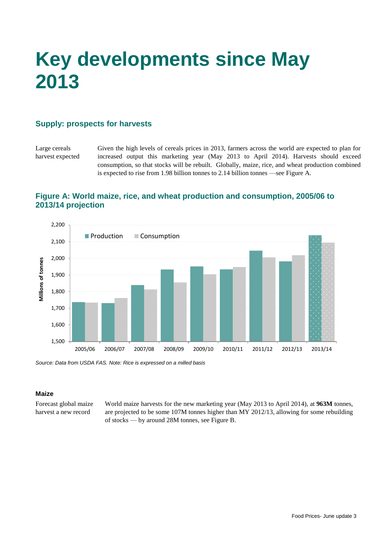# <span id="page-2-0"></span>**Key developments since May 2013**

## <span id="page-2-1"></span>**Supply: prospects for harvests**

Large cereals harvest expected

Given the high levels of cereals prices in 2013, farmers across the world are expected to plan for increased output this marketing year (May 2013 to April 2014). Harvests should exceed consumption, so that stocks will be rebuilt. Globally, maize, rice, and wheat production combined is expected to rise from 1.98 billion tonnes to 2.14 billion tonnes —see Figure A.

## **Figure A: World maize, rice, and wheat production and consumption, 2005/06 to 2013/14 projection**



<span id="page-2-2"></span>*Source: Data from USDA FAS. Note: Rice is expressed on a milled basis*

#### **Maize**

Forecast global maize harvest a new record

World maize harvests for the new marketing year (May 2013 to April 2014), at **963M** tonnes, are projected to be some 107M tonnes higher than MY 2012/13, allowing for some rebuilding of stocks — by around 28M tonnes, see Figure B.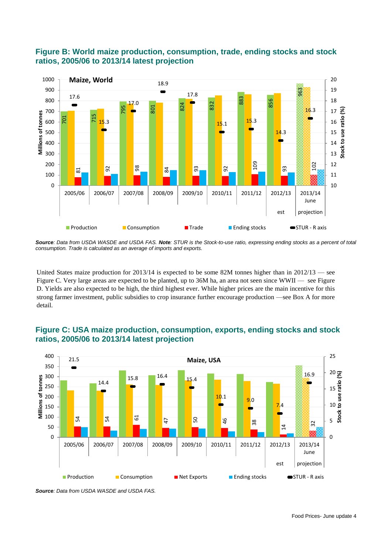

## **Figure B: World maize production, consumption, trade, ending stocks and stock ratios, 2005/06 to 2013/14 latest projection**

*Source: Data from USDA WASDE and USDA FAS. Note: STUR is the Stock-to-use ratio, expressing ending stocks as a percent of total consumption. Trade is calculated as an average of imports and exports.*

United States maize production for  $2013/14$  is expected to be some 82M tonnes higher than in  $2012/13$  — see Figure C. Very large areas are expected to be planted, up to 36M ha, an area not seen since WWII — see Figure D. Yields are also expected to be high, the third highest ever. While higher prices are the main incentive for this strong farmer investment, public subsidies to crop insurance further encourage production —see Box A for more detail.



## **Figure C: USA maize production, consumption, exports, ending stocks and stock ratios, 2005/06 to 2013/14 latest projection**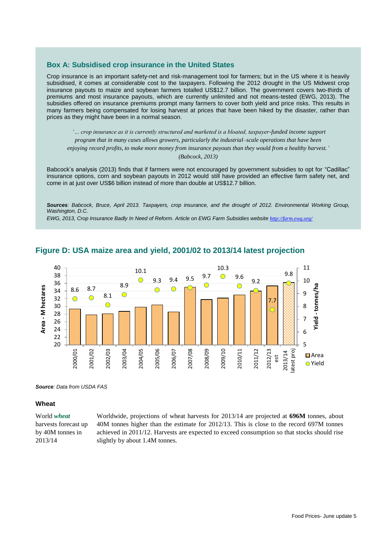#### **Box A: Subsidised crop insurance in the United States**

Crop insurance is an important safety-net and risk-management tool for farmers; but in the US where it is heavily subsidised, it comes at considerable cost to the taxpayers. Following the 2012 drought in the US Midwest crop insurance payouts to maize and soybean farmers totalled US\$12.7 billion. The government covers two-thirds of premiums and most insurance payouts, which are currently unlimited and not means-tested (EWG, 2013). The subsidies offered on insurance premiums prompt many farmers to cover both yield and price risks. This results in many farmers being compensated for losing harvest at prices that have been hiked by the disaster, rather than prices as they might have been in a normal season.

*'… crop insurance as it is currently structured and marketed is a bloated, taxpayer-funded income support program that in many cases allows growers, particularly the industrial–scale operations that have been enjoying record profits, to make more money from insurance payouts than they would from a healthy harvest.' (Babcock, 2013)*

Babcock's analysis (2013) finds that if farmers were not encouraged by government subsidies to opt for "Cadillac" insurance options, corn and soybean payouts in 2012 would still have provided an effective farm safety net, and come in at just over US\$6 billion instead of more than double at US\$12.7 billion.

*Sources: Babcock, Bruce, April 2013. Taxpayers, crop insurance, and the drought of 2012. Environmental Working Group, Washington, D.C.*

*EWG, 2013, Crop Insurance Badly In Need of Reform. Article on EWG Farm Subsidies website <http://farm.ewg.org/>*

![](_page_4_Figure_6.jpeg)

## **Figure D: USA maize area and yield, 2001/02 to 2013/14 latest projection**

*Source: Data from USDA FAS*

#### <span id="page-4-0"></span>**Wheat**

#### World *wheat* harvests forecast up by 40M tonnes in 2013/14

Worldwide, projections of wheat harvests for 2013/14 are projected at **696M** tonnes, about 40M tonnes higher than the estimate for 2012/13. This is close to the record 697M tonnes achieved in 2011/12. Harvests are expected to exceed consumption so that stocks should rise slightly by about 1.4M tonnes.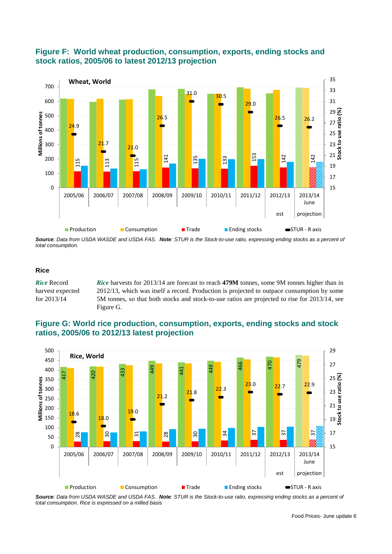![](_page_5_Figure_0.jpeg)

## **Figure F: World wheat production, consumption, exports, ending stocks and stock ratios, 2005/06 to latest 2012/13 projection**

*Source: Data from USDA WASDE and USDA FAS. Note: STUR is the Stock-to-use ratio, expressing ending stocks as a percent of total consumption.*

#### <span id="page-5-0"></span>**Rice**

*Rice* Record harvest expected for 2013/14 *Rice* harvests for 2013/14 are forecast to reach **479M** tonnes, some 9M tonnes higher than in 2012/13, which was itself a record. Production is projected to outpace consumption by some 5M tonnes, so that both stocks and stock-to-use ratios are projected to rise for 2013/14, see Figure G.

## **Figure G: World rice production, consumption, exports, ending stocks and stock ratios, 2005/06 to 2012/13 latest projection**

![](_page_5_Figure_6.jpeg)

*Source: Data from USDA WASDE and USDA FAS. Note: STUR is the Stock-to-use ratio, expressing ending stocks as a percent of*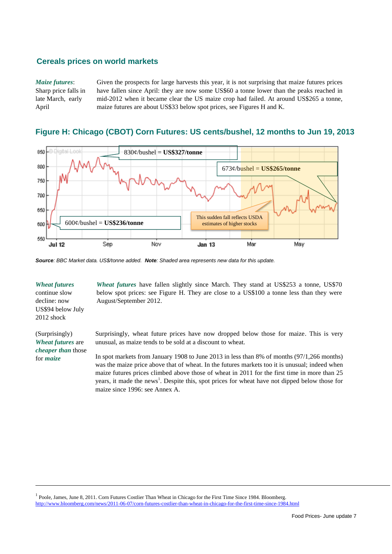### <span id="page-6-0"></span>**Cereals prices on world markets**

#### *Maize futures*:

Sharp price falls in late March, early April

Given the prospects for large harvests this year, it is not surprising that maize futures prices have fallen since April: they are now some US\$60 a tonne lower than the peaks reached in mid-2012 when it became clear the US maize crop had failed. At around US\$265 a tonne, maize futures are about US\$33 below spot prices, see Figures H and K.

## **Figure H: Chicago (CBOT) Corn Futures: US cents/bushel, 12 months to Jun 19, 2013**

![](_page_6_Figure_5.jpeg)

*Source: BBC Market data. US\$/tonne added. Note: Shaded area represents new data for this update.*

#### *Wheat futures* continue slow decline: now US\$94 below July 2012 shock

(Surprisingly) *Wheat futures* are *cheaper than* those for *maize*

*Wheat futures* have fallen slightly since March. They stand at US\$253 a tonne, US\$70 below spot prices: see Figure H. They are close to a US\$100 a tonne less than they were August/September 2012.

Surprisingly, wheat future prices have now dropped below those for maize. This is very unusual, as maize tends to be sold at a discount to wheat.

In spot markets from January 1908 to June 2013 in less than 8% of months (97/1,266 months) was the maize price above that of wheat. In the futures markets too it is unusual; indeed when maize futures prices climbed above those of wheat in 2011 for the first time in more than 25 years, it made the news<sup>1</sup>. Despite this, spot prices for wheat have not dipped below those for maize since 1996: see Annex A.

<sup>1</sup> Poole, James, June 8, 2011. Corn Futures Costlier Than Wheat in Chicago for the First Time Since 1984. Bloomberg. <http://www.bloomberg.com/news/2011-06-07/corn-futures-costlier-than-wheat-in-chicago-for-the-first-time-since-1984.html>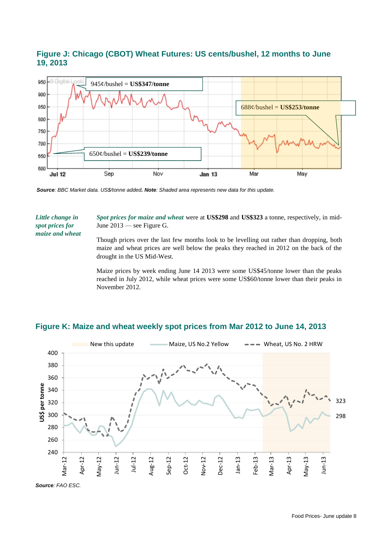## **Figure J: Chicago (CBOT) Wheat Futures: US cents/bushel, 12 months to June 19, 2013**

![](_page_7_Figure_1.jpeg)

*Source: BBC Market data. US\$/tonne added. Note: Shaded area represents new data for this update.*

*Little change in spot prices for maize and wheat* *Spot prices for maize and wheat* were at **US\$298** and **US\$323** a tonne, respectively, in mid-June 2013 — see Figure G.

Though prices over the last few months look to be levelling out rather than dropping, both maize and wheat prices are well below the peaks they reached in 2012 on the back of the drought in the US Mid-West.

Maize prices by week ending June 14 2013 were some US\$45/tonne lower than the peaks reached in July 2012, while wheat prices were some US\$60/tonne lower than their peaks in November 2012.

![](_page_7_Figure_7.jpeg)

#### **Figure K: Maize and wheat weekly spot prices from Mar 2012 to June 14, 2013**

*Source: FAO ESC.*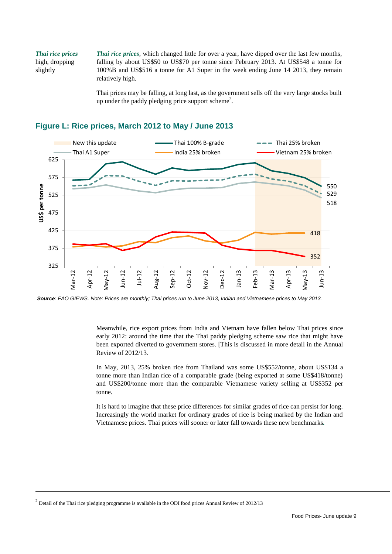*Thai rice prices* high, dropping slightly

*Thai rice prices*, which changed little for over a year, have dipped over the last few months, falling by about US\$50 to US\$70 per tonne since February 2013. At US\$548 a tonne for 100%B and US\$516 a tonne for A1 Super in the week ending June 14 2013, they remain relatively high.

Thai prices may be falling, at long last, as the government sells off the very large stocks built up under the paddy pledging price support scheme<sup>2</sup>.

![](_page_8_Figure_3.jpeg)

## **Figure L: Rice prices, March 2012 to May / June 2013**

*Source: FAO GIEWS. Note: Prices are monthly; Thai prices run to June 2013, Indian and Vietnamese prices to May 2013.*

Meanwhile, rice export prices from India and Vietnam have fallen below Thai prices since early 2012: around the time that the Thai paddy pledging scheme saw rice that might have been exported diverted to government stores. [This is discussed in more detail in the Annual Review of 2012/13.

In May, 2013, 25% broken rice from Thailand was some US\$552/tonne, about US\$134 a tonne more than Indian rice of a comparable grade (being exported at some US\$418/tonne) and US\$200/tonne more than the comparable Vietnamese variety selling at US\$352 per tonne.

It is hard to imagine that these price differences for similar grades of rice can persist for long. Increasingly the world market for ordinary grades of rice is being marked by the Indian and Vietnamese prices. Thai prices will sooner or later fall towards these new benchmarks*.* 

 $2$  Detail of the Thai rice pledging programme is available in the ODI food prices Annual Review of 2012/13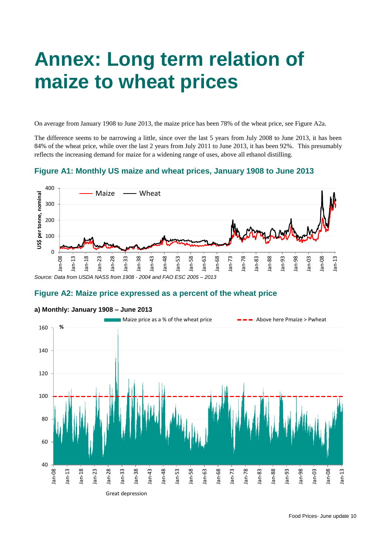# <span id="page-9-0"></span>**Annex: Long term relation of maize to wheat prices**

On average from January 1908 to June 2013, the maize price has been 78% of the wheat price, see Figure A2a.

The difference seems to be narrowing a little, since over the last 5 years from July 2008 to June 2013, it has been 84% of the wheat price, while over the last 2 years from July 2011 to June 2013, it has been 92%. This presumably reflects the increasing demand for maize for a widening range of uses, above all ethanol distilling.

### **Figure A1: Monthly US maize and wheat prices, January 1908 to June 2013**

![](_page_9_Figure_4.jpeg)

#### **Figure A2: Maize price expressed as a percent of the wheat price**

![](_page_9_Figure_6.jpeg)

#### **a) Monthly: January 1908 – June 2013**

Great depression